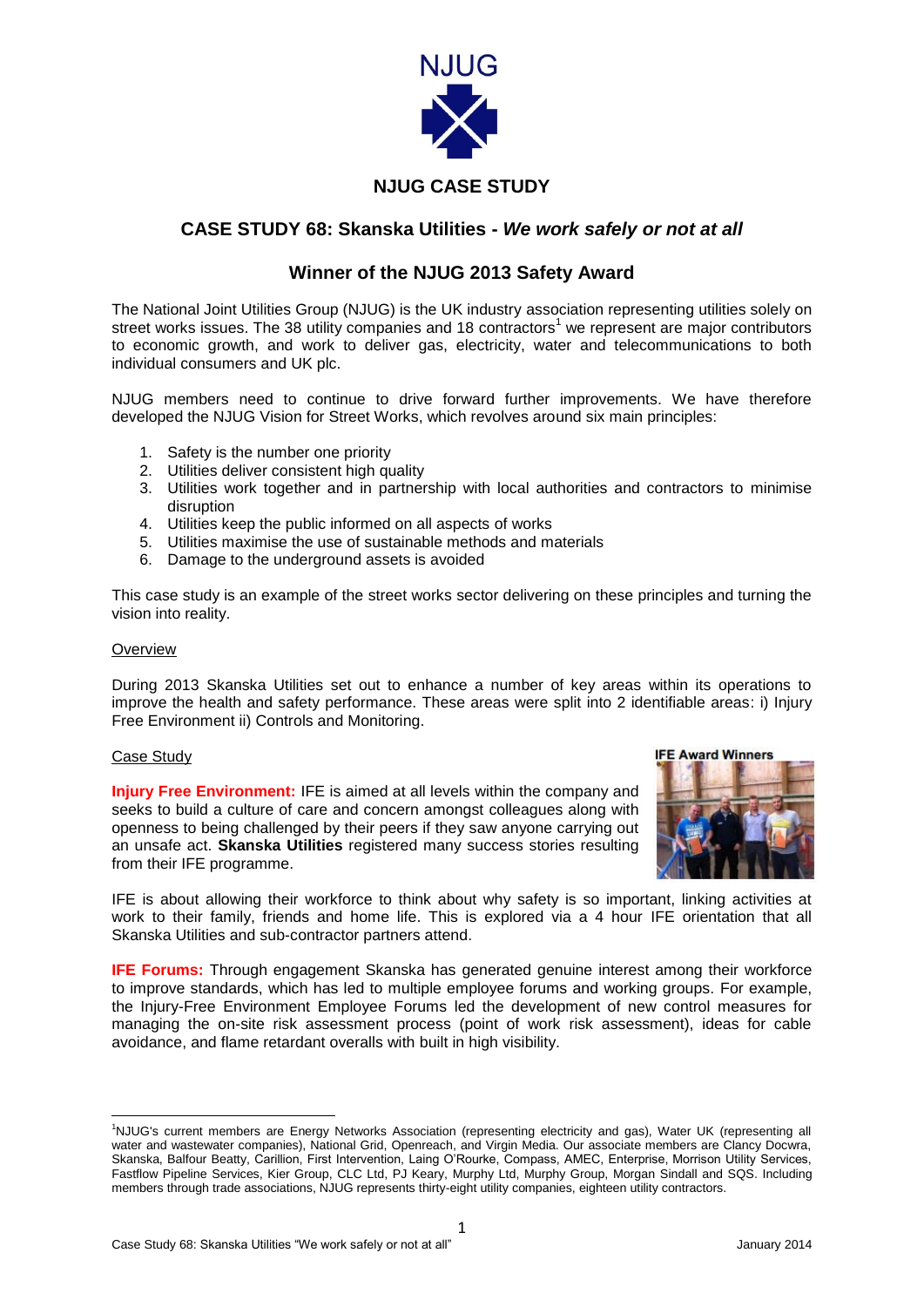

# **NJUG CASE STUDY**

## **CASE STUDY 68: Skanska Utilities -** *We work safely or not at all*

### **Winner of the NJUG 2013 Safety Award**

The National Joint Utilities Group (NJUG) is the UK industry association representing utilities solely on street works issues. The 38 utility companies and 18 contractors<sup>1</sup> we represent are major contributors to economic growth, and work to deliver gas, electricity, water and telecommunications to both individual consumers and UK plc.

NJUG members need to continue to drive forward further improvements. We have therefore developed the NJUG Vision for Street Works, which revolves around six main principles:

- 1. Safety is the number one priority
- 2. Utilities deliver consistent high quality
- 3. Utilities work together and in partnership with local authorities and contractors to minimise disruption
- 4. Utilities keep the public informed on all aspects of works
- 5. Utilities maximise the use of sustainable methods and materials
- 6. Damage to the underground assets is avoided

This case study is an example of the street works sector delivering on these principles and turning the vision into reality.

### **Overview**

During 2013 Skanska Utilities set out to enhance a number of key areas within its operations to improve the health and safety performance. These areas were split into 2 identifiable areas: i) Injury Free Environment ii) Controls and Monitoring.

### Case Study

**.** 

**Injury Free Environment:** IFE is aimed at all levels within the company and seeks to build a culture of care and concern amongst colleagues along with openness to being challenged by their peers if they saw anyone carrying out an unsafe act. **Skanska Utilities** registered many success stories resulting from their IFE programme.



IFE is about allowing their workforce to think about why safety is so important, linking activities at work to their family, friends and home life. This is explored via a 4 hour IFE orientation that all Skanska Utilities and sub-contractor partners attend.

**IFE Forums:** Through engagement Skanska has generated genuine interest among their workforce to improve standards, which has led to multiple employee forums and working groups. For example, the Injury-Free Environment Employee Forums led the development of new control measures for managing the on-site risk assessment process (point of work risk assessment), ideas for cable avoidance, and flame retardant overalls with built in high visibility.

<sup>1</sup>NJUG's current members are Energy Networks Association (representing electricity and gas), Water UK (representing all water and wastewater companies), National Grid, Openreach, and Virgin Media. Our associate members are Clancy Docwra, Skanska, Balfour Beatty, Carillion, First Intervention, Laing O'Rourke, Compass, AMEC, Enterprise, Morrison Utility Services, Fastflow Pipeline Services, Kier Group, CLC Ltd, PJ Keary, Murphy Ltd, Murphy Group, Morgan Sindall and SQS. Including members through trade associations, NJUG represents thirty-eight utility companies, eighteen utility contractors.